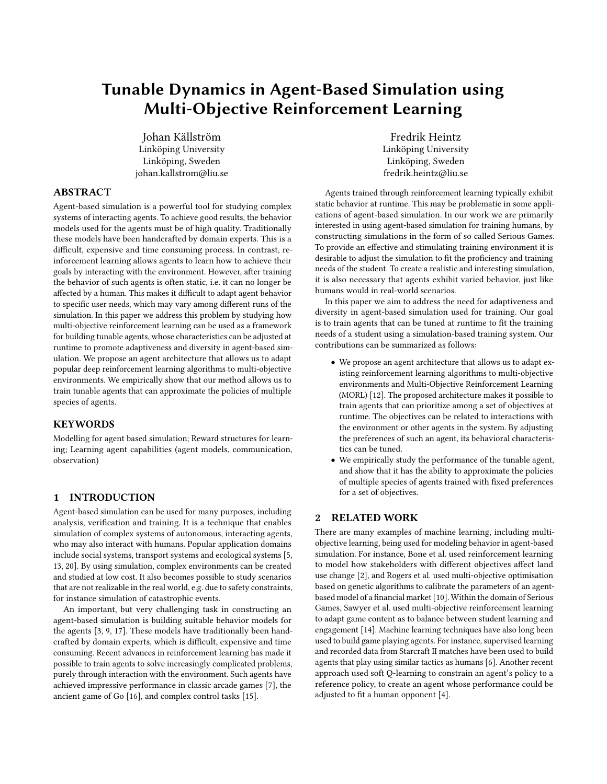# Tunable Dynamics in Agent-Based Simulation using Multi-Objective Reinforcement Learning

Johan Källström Linköping University Linköping, Sweden johan.kallstrom@liu.se

Fredrik Heintz Linköping University Linköping, Sweden fredrik.heintz@liu.se

# ABSTRACT

Agent-based simulation is a powerful tool for studying complex systems of interacting agents. To achieve good results, the behavior models used for the agents must be of high quality. Traditionally these models have been handcrafted by domain experts. This is a difficult, expensive and time consuming process. In contrast, reinforcement learning allows agents to learn how to achieve their goals by interacting with the environment. However, after training the behavior of such agents is often static, i.e. it can no longer be affected by a human. This makes it difficult to adapt agent behavior to specific user needs, which may vary among different runs of the simulation. In this paper we address this problem by studying how multi-objective reinforcement learning can be used as a framework for building tunable agents, whose characteristics can be adjusted at runtime to promote adaptiveness and diversity in agent-based simulation. We propose an agent architecture that allows us to adapt popular deep reinforcement learning algorithms to multi-objective environments. We empirically show that our method allows us to train tunable agents that can approximate the policies of multiple species of agents.

# **KEYWORDS**

Modelling for agent based simulation; Reward structures for learning; Learning agent capabilities (agent models, communication, observation)

## 1 INTRODUCTION

Agent-based simulation can be used for many purposes, including analysis, verification and training. It is a technique that enables simulation of complex systems of autonomous, interacting agents, who may also interact with humans. Popular application domains include social systems, transport systems and ecological systems [\[5,](#page-5-0) [13,](#page-6-0) [20\]](#page-6-1). By using simulation, complex environments can be created and studied at low cost. It also becomes possible to study scenarios that are not realizable in the real world, e.g. due to safety constraints, for instance simulation of catastrophic events.

An important, but very challenging task in constructing an agent-based simulation is building suitable behavior models for the agents [\[3,](#page-5-1) [9,](#page-5-2) [17\]](#page-6-2). These models have traditionally been handcrafted by domain experts, which is difficult, expensive and time consuming. Recent advances in reinforcement learning has made it possible to train agents to solve increasingly complicated problems, purely through interaction with the environment. Such agents have achieved impressive performance in classic arcade games [\[7\]](#page-5-3), the ancient game of Go [\[16\]](#page-6-3), and complex control tasks [\[15\]](#page-6-4).

Agents trained through reinforcement learning typically exhibit static behavior at runtime. This may be problematic in some applications of agent-based simulation. In our work we are primarily interested in using agent-based simulation for training humans, by constructing simulations in the form of so called Serious Games. To provide an effective and stimulating training environment it is desirable to adjust the simulation to fit the proficiency and training needs of the student. To create a realistic and interesting simulation, it is also necessary that agents exhibit varied behavior, just like humans would in real-world scenarios.

In this paper we aim to address the need for adaptiveness and diversity in agent-based simulation used for training. Our goal is to train agents that can be tuned at runtime to fit the training needs of a student using a simulation-based training system. Our contributions can be summarized as follows:

- We propose an agent architecture that allows us to adapt existing reinforcement learning algorithms to multi-objective environments and Multi-Objective Reinforcement Learning (MORL) [\[12\]](#page-5-4). The proposed architecture makes it possible to train agents that can prioritize among a set of objectives at runtime. The objectives can be related to interactions with the environment or other agents in the system. By adjusting the preferences of such an agent, its behavioral characteristics can be tuned.
- We empirically study the performance of the tunable agent, and show that it has the ability to approximate the policies of multiple species of agents trained with fixed preferences for a set of objectives.

# 2 RELATED WORK

There are many examples of machine learning, including multiobjective learning, being used for modeling behavior in agent-based simulation. For instance, Bone et al. used reinforcement learning to model how stakeholders with different objectives affect land use change [\[2\]](#page-5-5), and Rogers et al. used multi-objective optimisation based on genetic algorithms to calibrate the parameters of an agentbased model of a financial market [\[10\]](#page-5-6). Within the domain of Serious Games, Sawyer et al. used multi-objective reinforcement learning to adapt game content as to balance between student learning and engagement [\[14\]](#page-6-5). Machine learning techniques have also long been used to build game playing agents. For instance, supervised learning and recorded data from Starcraft II matches have been used to build agents that play using similar tactics as humans [\[6\]](#page-5-7). Another recent approach used soft Q-learning to constrain an agent's policy to a reference policy, to create an agent whose performance could be adjusted to fit a human opponent [\[4\]](#page-5-8).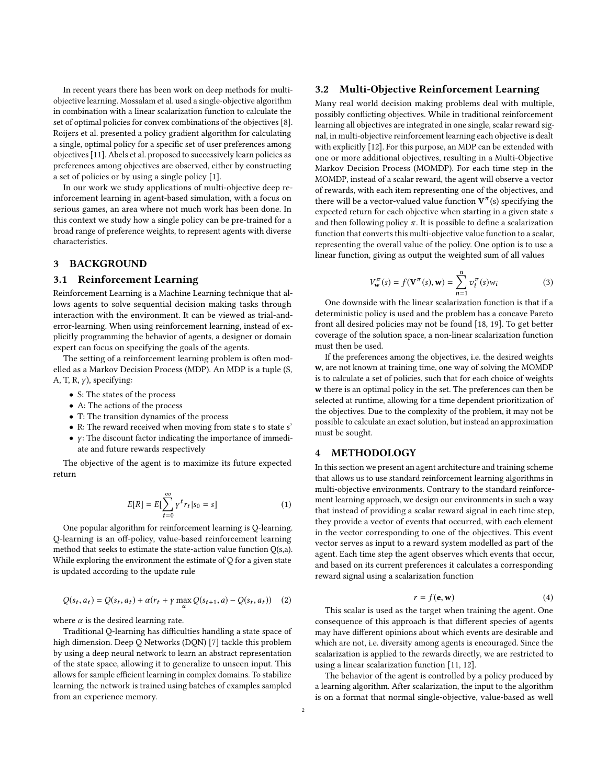In recent years there has been work on deep methods for multiobjective learning. Mossalam et al. used a single-objective algorithm in combination with a linear scalarization function to calculate the set of optimal policies for convex combinations of the objectives [\[8\]](#page-5-9). Roijers et al. presented a policy gradient algorithm for calculating a single, optimal policy for a specific set of user preferences among objectives [\[11\]](#page-5-10). Abels et al. proposed to successively learn policies as preferences among objectives are observed, either by constructing a set of policies or by using a single policy [\[1\]](#page-5-11).

In our work we study applications of multi-objective deep reinforcement learning in agent-based simulation, with a focus on serious games, an area where not much work has been done. In this context we study how a single policy can be pre-trained for a broad range of preference weights, to represent agents with diverse characteristics.

## 3 BACKGROUND

#### 3.1 Reinforcement Learning

Reinforcement Learning is a Machine Learning technique that allows agents to solve sequential decision making tasks through interaction with the environment. It can be viewed as trial-anderror-learning. When using reinforcement learning, instead of explicitly programming the behavior of agents, a designer or domain expert can focus on specifying the goals of the agents.

The setting of a reinforcement learning problem is often modelled as a Markov Decision Process (MDP). An MDP is a tuple (S, A, T, R,  $\gamma$ ), specifying:

- S: The states of the process
- A: The actions of the process
- T: The transition dynamics of the process
- R: The reward received when moving from state s to state s'
- $\bullet\,$  y: The discount factor indicating the importance of immediate and future rewards respectively

The objective of the agent is to maximize its future expected return

$$
E[R] = E[\sum_{t=0}^{\infty} \gamma^t r_t | s_0 = s]
$$
 (1)

One popular algorithm for reinforcement learning is Q-learning. Q-learning is an off-policy, value-based reinforcement learning method that seeks to estimate the state-action value function Q(s,a). While exploring the environment the estimate of Q for a given state is updated according to the update rule

$$
Q(s_t, a_t) = Q(s_t, a_t) + \alpha (r_t + \gamma \max_a Q(s_{t+1}, a) - Q(s_t, a_t))
$$
 (2)

where  $\alpha$  is the desired learning rate.

Traditional Q-learning has difficulties handling a state space of high dimension. Deep Q Networks (DQN) [\[7\]](#page-5-3) tackle this problem by using a deep neural network to learn an abstract representation of the state space, allowing it to generalize to unseen input. This allows for sample efficient learning in complex domains. To stabilize learning, the network is trained using batches of examples sampled from an experience memory.

#### 3.2 Multi-Objective Reinforcement Learning

Many real world decision making problems deal with multiple, possibly conflicting objectives. While in traditional reinforcement learning all objectives are integrated in one single, scalar reward signal, in multi-objective reinforcement learning each objective is dealt with explicitly [\[12\]](#page-5-4). For this purpose, an MDP can be extended with one or more additional objectives, resulting in a Multi-Objective Markov Decision Process (MOMDP). For each time step in the MOMDP, instead of a scalar reward, the agent will observe a vector of rewards, with each item representing one of the objectives, and there will be a vector-valued value function  ${\bf V}^\pi(s)$  specifying the expected return for each objective when starting in a given state s and then following policy  $\pi$ . It is possible to define a scalarization function that converts this multi-objective value function to a scalar, representing the overall value of the policy. One option is to use a linear function, giving as output the weighted sum of all values

$$
V_{\mathbf{w}}^{\pi}(s) = f(\mathbf{V}^{\pi}(s), \mathbf{w}) = \sum_{n=1}^{n} v_i^{\pi}(s) w_i
$$
 (3)

 $n=1$ <br>One downside with the linear scalarization function is that if a deterministic policy is used and the problem has a concave Pareto front all desired policies may not be found [\[18,](#page-6-6) [19\]](#page-6-7). To get better coverage of the solution space, a non-linear scalarization function must then be used.

If the preferences among the objectives, i.e. the desired weights w, are not known at training time, one way of solving the MOMDP is to calculate a set of policies, such that for each choice of weights w there is an optimal policy in the set. The preferences can then be selected at runtime, allowing for a time dependent prioritization of the objectives. Due to the complexity of the problem, it may not be possible to calculate an exact solution, but instead an approximation must be sought.

## 4 METHODOLOGY

In this section we present an agent architecture and training scheme that allows us to use standard reinforcement learning algorithms in multi-objective environments. Contrary to the standard reinforcement learning approach, we design our environments in such a way that instead of providing a scalar reward signal in each time step, they provide a vector of events that occurred, with each element in the vector corresponding to one of the objectives. This event vector serves as input to a reward system modelled as part of the agent. Each time step the agent observes which events that occur, and based on its current preferences it calculates a corresponding reward signal using a scalarization function

$$
r = f(\mathbf{e}, \mathbf{w}) \tag{4}
$$

 $r = f(\mathbf{e}, \mathbf{w})$  (4)<br>This scalar is used as the target when training the agent. One consequence of this approach is that different species of agents may have different opinions about which events are desirable and which are not, i.e. diversity among agents is encouraged. Since the scalarization is applied to the rewards directly, we are restricted to using a linear scalarization function [\[11,](#page-5-10) [12\]](#page-5-4).

The behavior of the agent is controlled by a policy produced by a learning algorithm. After scalarization, the input to the algorithm is on a format that normal single-objective, value-based as well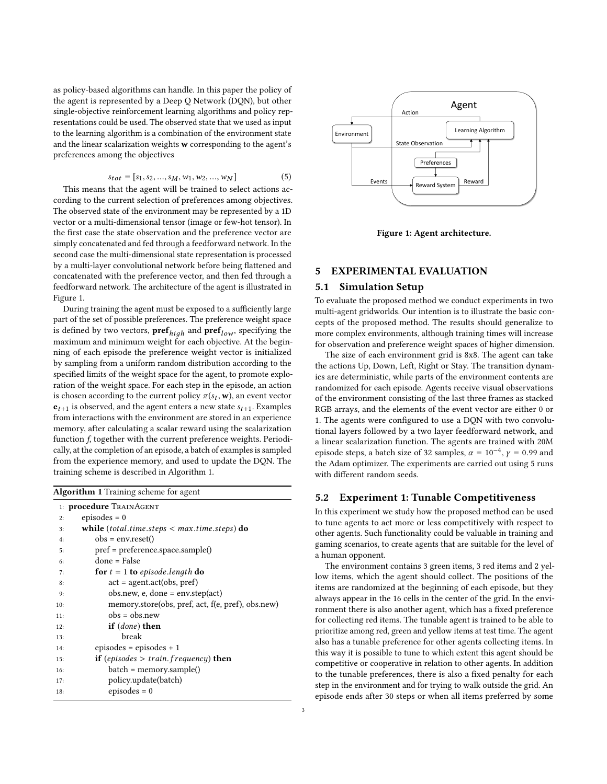as policy-based algorithms can handle. In this paper the policy of the agent is represented by a Deep Q Network (DQN), but other single-objective reinforcement learning algorithms and policy representations could be used. The observed state that we used as input to the learning algorithm is a combination of the environment state and the linear scalarization weights w corresponding to the agent's preferences among the objectives

$$
s_{tot} = [s_1, s_2, ..., s_M, w_1, w_2, ..., w_N]
$$
  
This means that the agent will be trained to select actions ac-

cording to the current selection of preferences among objectives. The observed state of the environment may be represented by a 1D vector or a multi-dimensional tensor (image or few-hot tensor). In the first case the state observation and the preference vector are simply concatenated and fed through a feedforward network. In the second case the multi-dimensional state representation is processed by a multi-layer convolutional network before being flattened and concatenated with the preference vector, and then fed through a feedforward network. The architecture of the agent is illustrated in Figure [1.](#page-2-0)

During training the agent must be exposed to a sufficiently large part of the set of possible preferences. The preference weight space is defined by two vectors, **pref**<sub>high</sub> and **pref**<sub>low</sub>, specifying the maximum and minimum weight for each objective. At the begin maximum and minimum weight for each objective. At the beginning of each episode the preference weight vector is initialized by sampling from a uniform random distribution according to the specified limits of the weight space for the agent, to promote exploration of the weight space. For each step in the episode, an action is chosen according to the current policy  $\pi(s_t, \mathbf{w})$ , an event vector  $e_{t+1}$  is observed, and the agent enters a new state  $s_{t+1}$ . Examples from interactions with the environment are stored in an experience memory, after calculating a scalar reward using the scalarization function f, together with the current preference weights. Periodically, at the completion of an episode, a batch of examples is sampled from the experience memory, and used to update the DQN. The training scheme is described in Algorithm [1.](#page-2-1)

<span id="page-2-1"></span>

| <b>Algorithm 1</b> Training scheme for agent |                                                      |  |  |  |  |  |  |  |
|----------------------------------------------|------------------------------------------------------|--|--|--|--|--|--|--|
| 1: <b>procedure</b> TRAINAGENT               |                                                      |  |  |  |  |  |  |  |
| 2:                                           | episodes $= 0$                                       |  |  |  |  |  |  |  |
| 3:                                           | while (total.time.steps $\langle$ max.time.steps) do |  |  |  |  |  |  |  |
| 4:                                           | $obs = envreset()$                                   |  |  |  |  |  |  |  |
| 5:                                           | $pref = preference.\nspace space.sample()$           |  |  |  |  |  |  |  |
| 6:                                           | $done = False$                                       |  |  |  |  |  |  |  |
| 7:                                           | for $t = 1$ to episode.length do                     |  |  |  |  |  |  |  |
| 8:                                           | $act = agent.act(obs, pref)$                         |  |  |  |  |  |  |  |
| 9:                                           | $obs.new$ , e, done = env.step(act)                  |  |  |  |  |  |  |  |
| 10:                                          | memory.store(obs, pref, act, f(e, pref), obs.new)    |  |  |  |  |  |  |  |
| 11:                                          | $obs = obs.new$                                      |  |  |  |  |  |  |  |
| 12:                                          | if $(done)$ then                                     |  |  |  |  |  |  |  |
| 13:                                          | break                                                |  |  |  |  |  |  |  |
| 14:                                          | $episodes = episodes + 1$                            |  |  |  |  |  |  |  |
| 15:                                          | if (episodes $>$ train. frequency) then              |  |  |  |  |  |  |  |
| 16:                                          | batch = memory.sample()                              |  |  |  |  |  |  |  |
| 17:                                          | policy.update(batch)                                 |  |  |  |  |  |  |  |
| 18:                                          | episodes $= 0$                                       |  |  |  |  |  |  |  |

<span id="page-2-0"></span>

Figure 1: Agent architecture.

### 5 EXPERIMENTAL EVALUATION

#### 5.1 Simulation Setup

To evaluate the proposed method we conduct experiments in two multi-agent gridworlds. Our intention is to illustrate the basic concepts of the proposed method. The results should generalize to more complex environments, although training times will increase for observation and preference weight spaces of higher dimension.

The size of each environment grid is 8x8. The agent can take the actions Up, Down, Left, Right or Stay. The transition dynamics are deterministic, while parts of the environment contents are randomized for each episode. Agents receive visual observations of the environment consisting of the last three frames as stacked RGB arrays, and the elements of the event vector are either 0 or 1. The agents were configured to use a DQN with two convolutional layers followed by a two layer feedforward network, and a linear scalarization function. The agents are trained with 20M episode steps, a batch size of 32 samples,  $\alpha = 10^{-4}$ ,  $\gamma = 0.99$  and the Adam optimizer. The experiments are carried out using 5 runs the Adam optimizer. The experiments are carried out using 5 runs with different random seeds.

#### 5.2 Experiment 1: Tunable Competitiveness

In this experiment we study how the proposed method can be used to tune agents to act more or less competitively with respect to other agents. Such functionality could be valuable in training and gaming scenarios, to create agents that are suitable for the level of a human opponent.

The environment contains 3 green items, 3 red items and 2 yellow items, which the agent should collect. The positions of the items are randomized at the beginning of each episode, but they always appear in the 16 cells in the center of the grid. In the environment there is also another agent, which has a fixed preference for collecting red items. The tunable agent is trained to be able to prioritize among red, green and yellow items at test time. The agent also has a tunable preference for other agents collecting items. In this way it is possible to tune to which extent this agent should be competitive or cooperative in relation to other agents. In addition to the tunable preferences, there is also a fixed penalty for each step in the environment and for trying to walk outside the grid. An episode ends after 30 steps or when all items preferred by some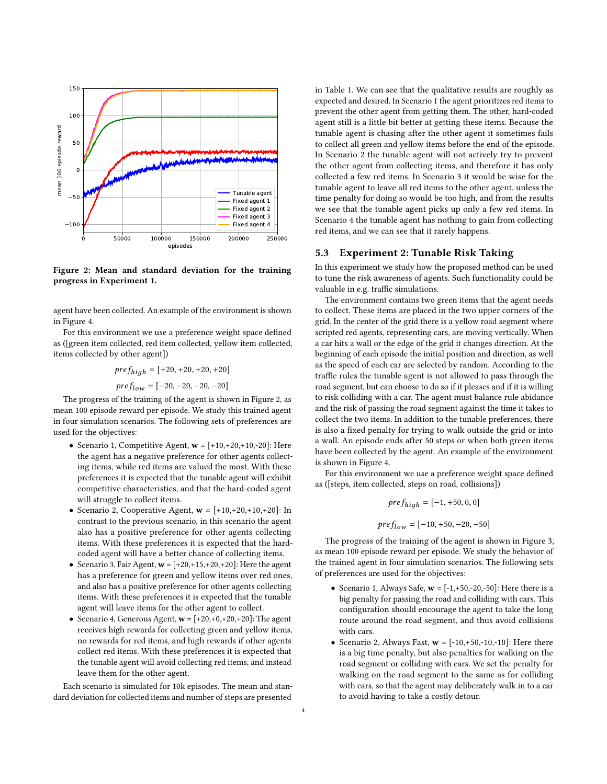<span id="page-3-0"></span>

Figure 2: Mean and standard deviation for the training progress in Experiment 1.

agent have been collected. An example of the environment is shown in Figure [4.](#page-4-0)

For this environment we use a preference weight space defined as ([green item collected, red item collected, yellow item collected, items collected by other agent])

> $pref<sub>hid</sub> = [+20, +20, +20, +20]$  $pref_{low} = [-20, -20, -20, -20]$

The progress of the training of the agent is shown in Figure [2,](#page-3-0) as mean 100 episode reward per episode. We study this trained agent in four simulation scenarios. The following sets of preferences are used for the objectives:

- Scenario 1, Competitive Agent,  $\mathbf{w} = [+10, +20, +10, -20]$ : Here the agent has a negative preference for other agents collecting items, while red items are valued the most. With these preferences it is expected that the tunable agent will exhibit competitive characteristics, and that the hard-coded agent will struggle to collect items.
- Scenario 2, Cooperative Agent,  $w = \begin{bmatrix} +10, +20, +10, +20 \end{bmatrix}$ : In contrast to the previous scenario, in this scenario the agent also has a positive preference for other agents collecting items. With these preferences it is expected that the hardcoded agent will have a better chance of collecting items.
- Scenario 3, Fair Agent,  $w = [+20, +15, +20, +20]$ : Here the agent has a preference for green and yellow items over red ones, and also has a positive preference for other agents collecting items. With these preferences it is expected that the tunable agent will leave items for the other agent to collect.
- Scenario 4, Generous Agent,  $w = [+20, +0, +20, +20]$ : The agent receives high rewards for collecting green and yellow items, no rewards for red items, and high rewards if other agents collect red items. With these preferences it is expected that the tunable agent will avoid collecting red items, and instead leave them for the other agent.

Each scenario is simulated for 10k episodes. The mean and standard deviation for collected items and number of steps are presented

in Table [1.](#page-5-12) We can see that the qualitative results are roughly as expected and desired. In Scenario 1 the agent prioritizes red items to prevent the other agent from getting them. The other, hard-coded agent still is a little bit better at getting these items. Because the tunable agent is chasing after the other agent it sometimes fails to collect all green and yellow items before the end of the episode. In Scenario 2 the tunable agent will not actively try to prevent the other agent from collecting items, and therefore it has only collected a few red items. In Scenario 3 it would be wise for the tunable agent to leave all red items to the other agent, unless the time penalty for doing so would be too high, and from the results we see that the tunable agent picks up only a few red items. In Scenario 4 the tunable agent has nothing to gain from collecting red items, and we can see that it rarely happens.

### 5.3 Experiment 2: Tunable Risk Taking

In this experiment we study how the proposed method can be used to tune the risk awareness of agents. Such functionality could be valuable in e.g. traffic simulations.

The environment contains two green items that the agent needs to collect. These items are placed in the two upper corners of the grid. In the center of the grid there is a yellow road segment where scripted red agents, representing cars, are moving vertically. When a car hits a wall or the edge of the grid it changes direction. At the beginning of each episode the initial position and direction, as well as the speed of each car are selected by random. According to the traffic rules the tunable agent is not allowed to pass through the road segment, but can choose to do so if it pleases and if it is willing to risk colliding with a car. The agent must balance rule abidance and the risk of passing the road segment against the time it takes to collect the two items. In addition to the tunable preferences, there is also a fixed penalty for trying to walk outside the grid or into a wall. An episode ends after 50 steps or when both green items have been collected by the agent. An example of the environment is shown in Figure [4.](#page-4-0)

For this environment we use a preference weight space defined as ([steps, item collected, steps on road, collisions])

$$
pref_{high} = [-1, +50, 0, 0]
$$

$$
pref_{low} = [-10, +50, -20, -50]
$$

The progress of the training of the agent is shown in Figure [3,](#page-4-1) as mean 100 episode reward per episode. We study the behavior of the trained agent in four simulation scenarios. The following sets of preferences are used for the objectives:

- Scenario 1, Always Safe,  $w = [-1, +50, -20, -50]$ : Here there is a big penalty for passing the road and colliding with cars. This configuration should encourage the agent to take the long route around the road segment, and thus avoid collisions with cars.
- Scenario 2, Always Fast,  $w = [-10, +50, -10, -10]$ : Here there is a big time penalty, but also penalties for walking on the road segment or colliding with cars. We set the penalty for walking on the road segment to the same as for colliding with cars, so that the agent may deliberately walk in to a car to avoid having to take a costly detour.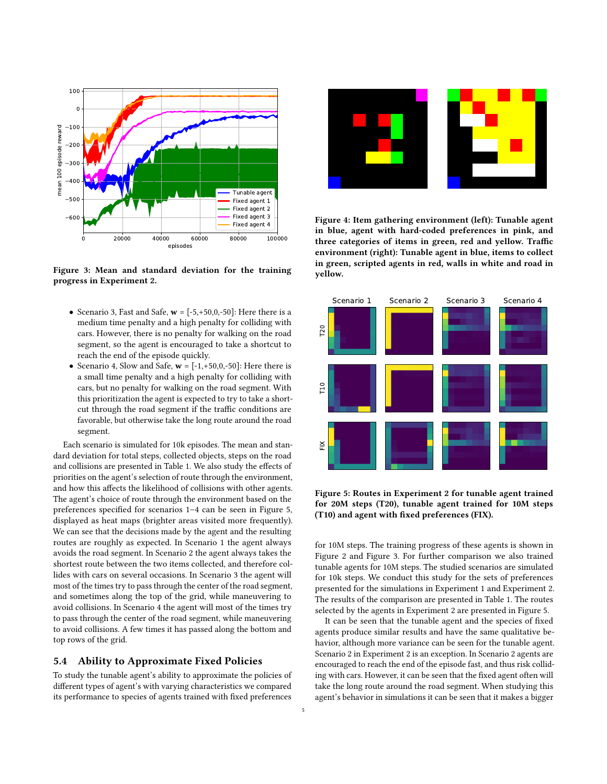<span id="page-4-1"></span>

Figure 3: Mean and standard deviation for the training progress in Experiment 2.

- Scenario 3, Fast and Safe,  $w = [-5, +50, 0, -50]$ : Here there is a medium time penalty and a high penalty for colliding with cars. However, there is no penalty for walking on the road segment, so the agent is encouraged to take a shortcut to reach the end of the episode quickly.
- Scenario 4, Slow and Safe,  $w = [-1, +50, 0, -50]$ : Here there is a small time penalty and a high penalty for colliding with cars, but no penalty for walking on the road segment. With this prioritization the agent is expected to try to take a shortcut through the road segment if the traffic conditions are favorable, but otherwise take the long route around the road segment.

Each scenario is simulated for 10k episodes. The mean and standard deviation for total steps, collected objects, steps on the road and collisions are presented in Table [1.](#page-5-12) We also study the effects of priorities on the agent's selection of route through the environment, and how this affects the likelihood of collisions with other agents. The agent's choice of route through the environment based on the preferences specified for scenarios 1–4 can be seen in Figure [5,](#page-4-2) displayed as heat maps (brighter areas visited more frequently). We can see that the decisions made by the agent and the resulting routes are roughly as expected. In Scenario 1 the agent always avoids the road segment. In Scenario 2 the agent always takes the shortest route between the two items collected, and therefore collides with cars on several occasions. In Scenario 3 the agent will most of the times try to pass through the center of the road segment, and sometimes along the top of the grid, while maneuvering to avoid collisions. In Scenario 4 the agent will most of the times try to pass through the center of the road segment, while maneuvering to avoid collisions. A few times it has passed along the bottom and top rows of the grid.

### 5.4 Ability to Approximate Fixed Policies

To study the tunable agent's ability to approximate the policies of different types of agent's with varying characteristics we compared its performance to species of agents trained with fixed preferences

<span id="page-4-0"></span>

Figure 4: Item gathering environment (left): Tunable agent in blue, agent with hard-coded preferences in pink, and three categories of items in green, red and yellow. Traffic environment (right): Tunable agent in blue, items to collect in green, scripted agents in red, walls in white and road in yellow.

<span id="page-4-2"></span>

Figure 5: Routes in Experiment 2 for tunable agent trained for 20M steps (T20), tunable agent trained for 10M steps (T10) and agent with fixed preferences (FIX).

for 10M steps. The training progress of these agents is shown in Figure [2](#page-3-0) and Figure [3.](#page-4-1) For further comparison we also trained tunable agents for 10M steps. The studied scenarios are simulated for 10k steps. We conduct this study for the sets of preferences presented for the simulations in Experiment 1 and Experiment 2. The results of the comparison are presented in Table [1.](#page-5-12) The routes selected by the agents in Experiment 2 are presented in Figure [5.](#page-4-2)

It can be seen that the tunable agent and the species of fixed agents produce similar results and have the same qualitative behavior, although more variance can be seen for the tunable agent. Scenario 2 in Experiment 2 is an exception. In Scenario 2 agents are encouraged to reach the end of the episode fast, and thus risk colliding with cars. However, it can be seen that the fixed agent often will take the long route around the road segment. When studying this agent's behavior in simulations it can be seen that it makes a bigger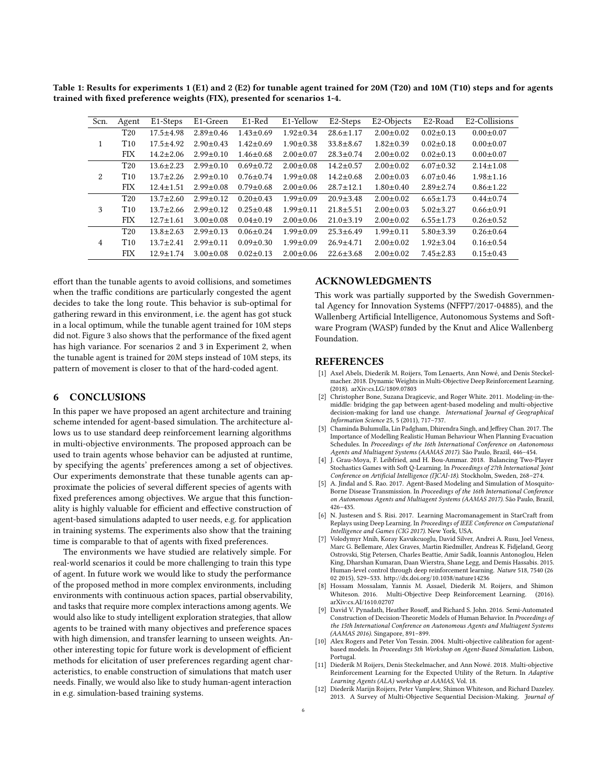<span id="page-5-12"></span>Table 1: Results for experiments 1 (E1) and 2 (E2) for tunable agent trained for 20M (T20) and 10M (T10) steps and for agents trained with fixed preference weights (FIX), presented for scenarios 1-4.

| Scn.           | Agent           | E1-Steps        | E1-Green        | E1-Red          | E1-Yellow       | E2-Steps        | E2-Objects      | E2-Road         | E2-Collisions   |
|----------------|-----------------|-----------------|-----------------|-----------------|-----------------|-----------------|-----------------|-----------------|-----------------|
|                |                 |                 |                 |                 |                 |                 |                 |                 |                 |
| 1              | T <sub>20</sub> | $17.5 + 4.98$   | $2.89 \pm 0.46$ | $1.43 \pm 0.69$ | $1.92 \pm 0.34$ | $28.6 \pm 1.17$ | $2.00 \pm 0.02$ | $0.02 \pm 0.13$ | $0.00 \pm 0.07$ |
|                | T <sub>10</sub> | $17.5 + 4.92$   | $2.90 \pm 0.43$ | $1.42 \pm 0.69$ | $1.90 \pm 0.38$ | $33.8 \pm 8.67$ | $1.82 \pm 0.39$ | $0.02 \pm 0.18$ | $0.00 \pm 0.07$ |
|                | <b>FIX</b>      | $14.2 \pm 2.06$ | $2.99 \pm 0.10$ | $1.46 \pm 0.68$ | $2.00 \pm 0.07$ | $28.3 \pm 0.74$ | $2.00 \pm 0.02$ | $0.02 \pm 0.13$ | $0.00 \pm 0.07$ |
| 2              | T <sub>20</sub> | $13.6 \pm 2.23$ | $2.99 \pm 0.10$ | $0.69 \pm 0.72$ | $2.00 \pm 0.08$ | $14.2 \pm 0.57$ | $2.00 \pm 0.02$ | $6.07 \pm 0.32$ | $2.14 \pm 1.08$ |
|                | T <sub>10</sub> | $13.7 \pm 2.26$ | $2.99 \pm 0.10$ | $0.76 \pm 0.74$ | $1.99 \pm 0.08$ | $14.2 \pm 0.68$ | $2.00 \pm 0.03$ | $6.07 \pm 0.46$ | $1.98 \pm 1.16$ |
|                | <b>FIX</b>      | $12.4 \pm 1.51$ | $2.99 \pm 0.08$ | $0.79 \pm 0.68$ | $2.00 \pm 0.06$ | $28.7 \pm 12.1$ | $1.80 \pm 0.40$ | $2.89 \pm 2.74$ | $0.86 \pm 1.22$ |
| 3              | T <sub>20</sub> | $13.7 \pm 2.60$ | $2.99 \pm 0.12$ | $0.20 \pm 0.43$ | $1.99 \pm 0.09$ | $20.9 \pm 3.48$ | $2.00 \pm 0.02$ | $6.65 \pm 1.73$ | $0.44 \pm 0.74$ |
|                | T <sub>10</sub> | $13.7 \pm 2.66$ | $2.99 \pm 0.12$ | $0.25 + 0.48$   | $1.99 \pm 0.11$ | $21.8 \pm 5.51$ | $2.00 \pm 0.03$ | $5.02 + 3.27$   | $0.66 \pm 0.91$ |
|                | <b>FIX</b>      | $12.7 \pm 1.61$ | $3.00 \pm 0.08$ | $0.04 \pm 0.19$ | $2.00 \pm 0.06$ | $21.0 \pm 3.19$ | $2.00 \pm 0.02$ | $6.55 \pm 1.73$ | $0.26 \pm 0.52$ |
| $\overline{4}$ | T <sub>20</sub> | $13.8 \pm 2.63$ | $2.99 \pm 0.13$ | $0.06 \pm 0.24$ | $1.99 \pm 0.09$ | $25.3 \pm 6.49$ | $1.99 \pm 0.11$ | $5.80 + 3.39$   | $0.26 \pm 0.64$ |
|                | T <sub>10</sub> | $13.7 + 2.41$   | $2.99 \pm 0.11$ | $0.09 \pm 0.30$ | $1.99 + 0.09$   | $26.9 + 4.71$   | $2.00 \pm 0.02$ | $1.92 \pm 3.04$ | $0.16 \pm 0.54$ |
|                | <b>FIX</b>      | $12.9 \pm 1.74$ | $3.00 \pm 0.08$ | $0.02 \pm 0.13$ | $2.00 \pm 0.06$ | $22.6 \pm 3.68$ | $2.00 \pm 0.02$ | $7.45 \pm 2.83$ | $0.15 \pm 0.43$ |

effort than the tunable agents to avoid collisions, and sometimes when the traffic conditions are particularly congested the agent decides to take the long route. This behavior is sub-optimal for gathering reward in this environment, i.e. the agent has got stuck in a local optimum, while the tunable agent trained for 10M steps did not. Figure [3](#page-4-1) also shows that the performance of the fixed agent has high variance. For scenarios 2 and 3 in Experiment 2, when the tunable agent is trained for 20M steps instead of 10M steps, its pattern of movement is closer to that of the hard-coded agent.

## 6 CONCLUSIONS

In this paper we have proposed an agent architecture and training scheme intended for agent-based simulation. The architecture allows us to use standard deep reinforcement learning algorithms in multi-objective environments. The proposed approach can be used to train agents whose behavior can be adjusted at runtime, by specifying the agents' preferences among a set of objectives. Our experiments demonstrate that these tunable agents can approximate the policies of several different species of agents with fixed preferences among objectives. We argue that this functionality is highly valuable for efficient and effective construction of agent-based simulations adapted to user needs, e.g. for application in training systems. The experiments also show that the training time is comparable to that of agents with fixed preferences.

The environments we have studied are relatively simple. For real-world scenarios it could be more challenging to train this type of agent. In future work we would like to study the performance of the proposed method in more complex environments, including environments with continuous action spaces, partial observability, and tasks that require more complex interactions among agents. We would also like to study intelligent exploration strategies, that allow agents to be trained with many objectives and preference spaces with high dimension, and transfer learning to unseen weights. Another interesting topic for future work is development of efficient methods for elicitation of user preferences regarding agent characteristics, to enable construction of simulations that match user needs. Finally, we would also like to study human-agent interaction in e.g. simulation-based training systems.

## ACKNOWLEDGMENTS

This work was partially supported by the Swedish Governmental Agency for Innovation Systems (NFFP7/2017-04885), and the Wallenberg Artificial Intelligence, Autonomous Systems and Software Program (WASP) funded by the Knut and Alice Wallenberg Foundation.

#### **REFERENCES**

- <span id="page-5-11"></span>[1] Axel Abels, Diederik M. Roijers, Tom Lenaerts, Ann Nowé, and Denis Steckelmacher. 2018. Dynamic Weights in Multi-Objective Deep Reinforcement Learning. (2018). arXiv[:cs.LG/1809.07803](http://arxiv.org/abs/cs.LG/1809.07803)
- <span id="page-5-5"></span>[2] Christopher Bone, Suzana Dragicevic, and Roger White. 2011. Modeling-in-themiddle: bridging the gap between agent-based modeling and multi-objective decision-making for land use change. International Journal of Geographical Information Science 25, 5 (2011), 717–737.
- <span id="page-5-1"></span>[3] Chaminda Bulumulla, Lin Padgham, Dhirendra Singh, and Jeffrey Chan. 2017. The Importance of Modelling Realistic Human Behaviour When Planning Evacuation Schedules. In Proceedings of the 16th International Conference on Autonomous Agents and Multiagent Systems (AAMAS 2017). São Paulo, Brazil, 446–454.
- <span id="page-5-8"></span>[4] J. Grau-Moya, F. Leibfried, and H. Bou-Ammar. 2018. Balancing Two-Player Stochastics Games with Soft Q-Learning. In Proceedings of 27th International Joint Conference on Artificial Intelligence (IJCAI-18). Stockholm, Sweden, 268–274.
- <span id="page-5-0"></span>[5] A. Jindal and S. Rao. 2017. Agent-Based Modeling and Simulation of Mosquito-Borne Disease Transmission. In Proceedings of the 16th International Conference on Autonomous Agents and Multiagent Systems (AAMAS 2017). São Paulo, Brazil, 426–435.
- <span id="page-5-7"></span>[6] N. Justesen and S. Risi. 2017. Learning Macromanagement in StarCraft from Replays using Deep Learning. In Proceedings of IEEE Conference on Computational Intelligence and Games (CIG 2017). New York, USA.
- <span id="page-5-3"></span>[7] Volodymyr Mnih, Koray Kavukcuoglu, David Silver, Andrei A. Rusu, Joel Veness, Marc G. Bellemare, Alex Graves, Martin Riedmiller, Andreas K. Fidjeland, Georg Ostrovski, Stig Petersen, Charles Beattie, Amir Sadik, Ioannis Antonoglou, Helen King, Dharshan Kumaran, Daan Wierstra, Shane Legg, and Demis Hassabis. 2015. Human-level control through deep reinforcement learning. Nature 518, 7540 (26 02 2015), 529–533.<http://dx.doi.org/10.1038/nature14236>
- <span id="page-5-9"></span>[8] Hossam Mossalam, Yannis M. Assael, Diederik M. Roijers, and Shimon Whiteson. 2016. Multi-Objective Deep Reinforcement Learning. (2016). arXiv[:cs.AI/1610.02707](http://arxiv.org/abs/cs.AI/1610.02707)
- <span id="page-5-2"></span>[9] David V. Pynadath, Heather Rosoff, and Richard S. John. 2016. Semi-Automated Construction of Decision-Theoretic Models of Human Behavior. In Proceedings of the 15th International Conference on Autonomous Agents and Multiagent Systems (AAMAS 2016). Singapore, 891–899.
- <span id="page-5-6"></span>[10] Alex Rogers and Peter Von Tessin. 2004. Multi-objective calibration for agentbased models. In Proceedings 5th Workshop on Agent-Based Simulation. Lisbon, Portugal.
- <span id="page-5-10"></span>[11] Diederik M Roijers, Denis Steckelmacher, and Ann Nowé. 2018. Multi-objective Reinforcement Learning for the Expected Utility of the Return. In Adaptive Learning Agents (ALA) workshop at AAMAS, Vol. 18.
- <span id="page-5-4"></span>[12] Diederik Marijn Roijers, Peter Vamplew, Shimon Whiteson, and Richard Dazeley. 2013. A Survey of Multi-Objective Sequential Decision-Making. Journal of